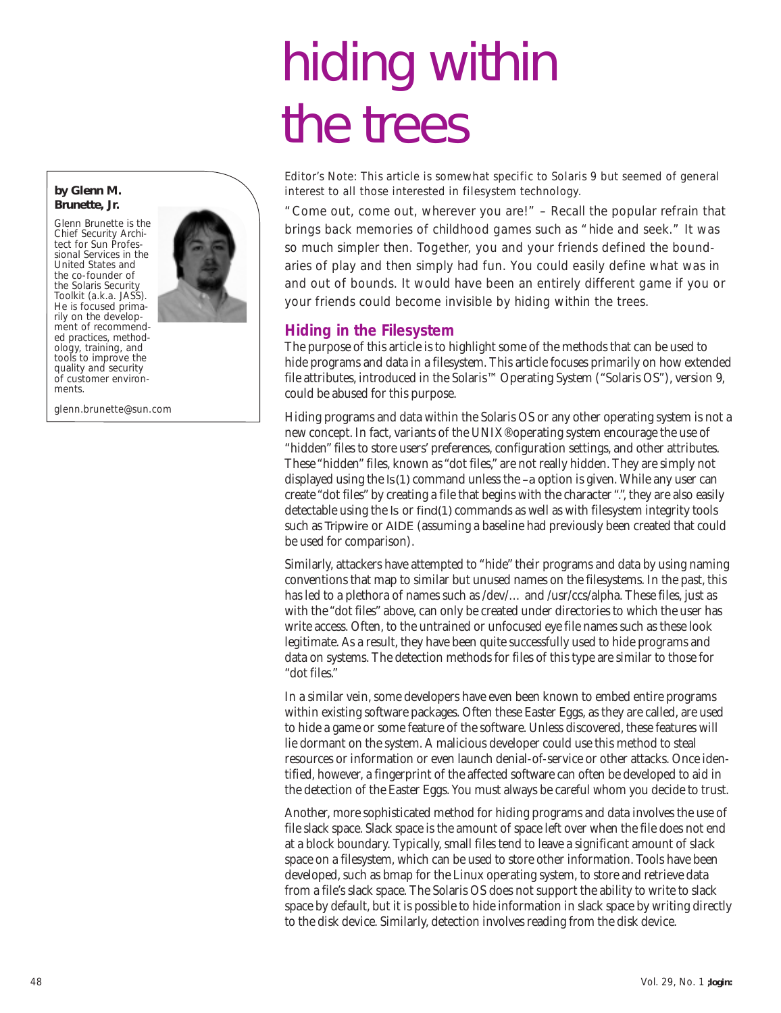# hiding within the trees

*Editor's Note: This article is somewhat specific to Solaris 9 but seemed of general interest to all those interested in filesystem technology.* 

"Come out, come out, wherever you are!" – Recall the popular refrain that brings back memories of childhood games such as "hide and seek." It was so much simpler then. Together, you and your friends defined the boundaries of play and then simply had fun. You could easily define what was in and out of bounds. It would have been an entirely different game if you or your friends could become invisible by hiding within the trees.

# **Hiding in the Filesystem**

The purpose of this article is to highlight some of the methods that can be used to hide programs and data in a filesystem. This article focuses primarily on how extended file attributes, introduced in the Solaris™ Operating System ("Solaris OS"), version 9, could be abused for this purpose.

Hiding programs and data within the Solaris OS or any other operating system is not a new concept. In fact, variants of the UNIX® operating system encourage the use of "hidden" files to store users' preferences, configuration settings, and other attributes. These "hidden" files, known as "dot files," are not really hidden. They are simply not displayed using the ls(1) command unless the –a option is given. While any user can create "dot files" by creating a file that begins with the character ".", they are also easily detectable using the ls or find(1) commands as well as with filesystem integrity tools such as Tripwire or AIDE (assuming a baseline had previously been created that could be used for comparison).

Similarly, attackers have attempted to "hide" their programs and data by using naming conventions that map to similar but unused names on the filesystems. In the past, this has led to a plethora of names such as /dev/... and /usr/ccs/alpha. These files, just as with the "dot files" above, can only be created under directories to which the user has write access. Often, to the untrained or unfocused eye file names such as these look legitimate. As a result, they have been quite successfully used to hide programs and data on systems. The detection methods for files of this type are similar to those for "dot files."

In a similar vein, some developers have even been known to embed entire programs within existing software packages. Often these Easter Eggs, as they are called, are used to hide a game or some feature of the software. Unless discovered, these features will lie dormant on the system. A malicious developer could use this method to steal resources or information or even launch denial-of-service or other attacks. Once identified, however, a fingerprint of the affected software can often be developed to aid in the detection of the Easter Eggs. You must always be careful whom you decide to trust.

Another, more sophisticated method for hiding programs and data involves the use of file slack space. Slack space is the amount of space left over when the file does not end at a block boundary. Typically, small files tend to leave a significant amount of slack space on a filesystem, which can be used to store other information. Tools have been developed, such as bmap for the Linux operating system, to store and retrieve data from a file's slack space. The Solaris OS does not support the ability to write to slack space by default, but it is possible to hide information in slack space by writing directly to the disk device. Similarly, detection involves reading from the disk device.

#### **by Glenn M. Brunette, Jr.**

Glenn Brunette is the Chief Security Archi-tect for Sun Professional Services in the United States and the co-founder of the Solaris Security Toolkit (a.k.a. JASS). He is focused primarily on the development of recommended practices, methodology, training, and tools to improve the quality and security of customer environments.

*glenn.brunette@sun.com*

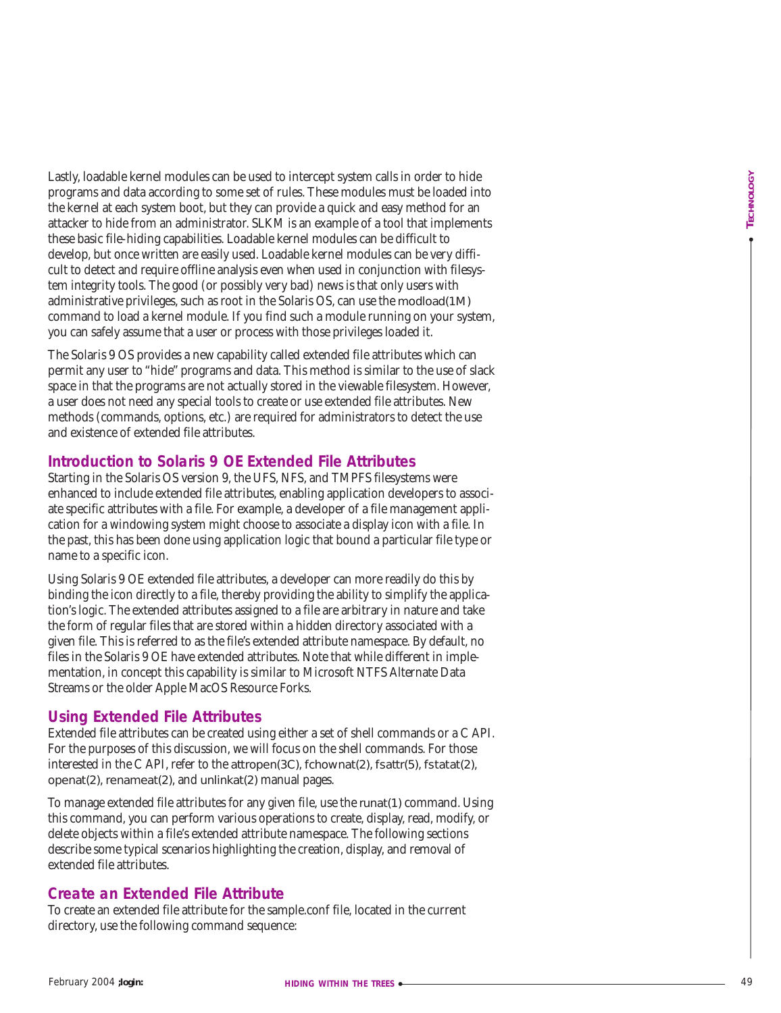Festival between the models are the stationary the station of the stationary of the stationary of the stationary of the stationary of the stationary of the stationary of the stationary of the stationary of the stationary o Lastly, loadable kernel modules can be used to intercept system calls in order to hide programs and data according to some set of rules. These modules must be loaded into the kernel at each system boot, but they can provide a quick and easy method for an attacker to hide from an administrator. SLKM is an example of a tool that implements these basic file-hiding capabilities. Loadable kernel modules can be difficult to develop, but once written are easily used. Loadable kernel modules can be very difficult to detect and require offline analysis even when used in conjunction with filesystem integrity tools. The good (or possibly very bad) news is that only users with administrative privileges, such as root in the Solaris OS, can use the modload(1M) command to load a kernel module. If you find such a module running on your system, you can safely assume that a user or process with those privileges loaded it.

The Solaris 9 OS provides a new capability called extended file attributes which can permit any user to "hide" programs and data. This method is similar to the use of slack space in that the programs are not actually stored in the viewable filesystem. However, a user does not need any special tools to create or use extended file attributes. New methods (commands, options, etc.) are required for administrators to detect the use and existence of extended file attributes.

# **Introduction to Solaris 9 OE Extended File Attributes**

Starting in the Solaris OS version 9, the UFS, NFS, and TMPFS filesystems were enhanced to include extended file attributes, enabling application developers to associate specific attributes with a file. For example, a developer of a file management application for a windowing system might choose to associate a display icon with a file. In the past, this has been done using application logic that bound a particular file type or name to a specific icon.

Using Solaris 9 OE extended file attributes, a developer can more readily do this by binding the icon directly to a file, thereby providing the ability to simplify the application's logic. The extended attributes assigned to a file are arbitrary in nature and take the form of regular files that are stored within a hidden directory associated with a given file. This is referred to as the file's extended attribute namespace. By default, no files in the Solaris 9 OE have extended attributes. Note that while different in implementation, in concept this capability is similar to Microsoft NTFS Alternate Data Streams or the older Apple MacOS Resource Forks.

# **Using Extended File Attributes**

Extended file attributes can be created using either a set of shell commands or a C API. For the purposes of this discussion, we will focus on the shell commands. For those interested in the C API, refer to the attropen(3C) , fchownat(2) , fsattr(5) , fstatat(2) , openat(2) , renameat(2), and unlinkat(2) manual pages.

To manage extended file attributes for any given file, use the runat(1) command. Using this command, you can perform various operations to create, display, read, modify, or delete objects within a file's extended attribute namespace. The following sections describe some typical scenarios highlighting the creation, display, and removal of extended file attributes.

# **Create an Extended File Attribute**

To create an extended file attribute for the sample.conf file, located in the current directory, use the following command sequence: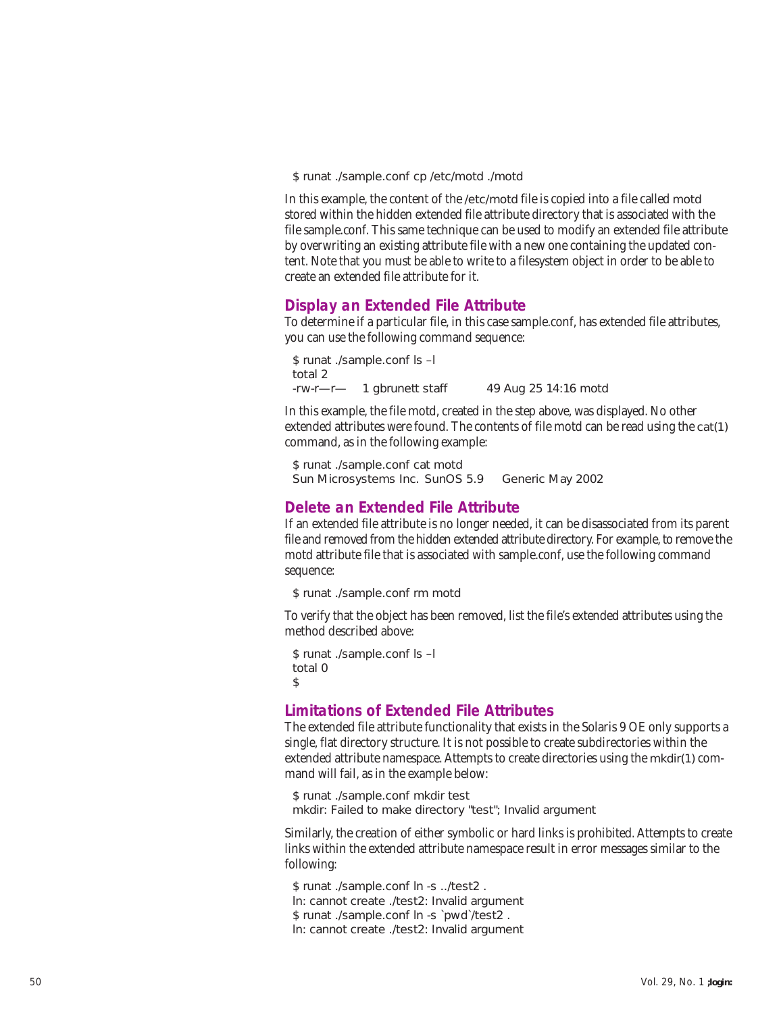\$ runat ./sample.conf cp /etc/motd ./motd

In this example, the content of the /etc/motd file is copied into a file called motd stored within the hidden extended file attribute directory that is associated with the file sample.conf. This same technique can be used to modify an extended file attribute by overwriting an existing attribute file with a new one containing the updated content. Note that you must be able to write to a filesystem object in order to be able to create an extended file attribute for it.

## **Display an Extended File Attribute**

To determine if a particular file, in this case sample.conf, has extended file attributes, you can use the following command sequence:

\$ runat ./sample.conf ls –l total 2 -rw-r—r— 1 gbrunett staff 49 Aug 25 14:16 motd

In this example, the file motd, created in the step above, was displayed. No other extended attributes were found. The contents of file motd can be read using the cat(1) command, as in the following example:

```
$ runat ./sample.conf cat motd
Sun Microsystems Inc. SunOS 5.9 Generic May 2002
```
## **Delete an Extended File Attribute**

If an extended file attribute is no longer needed, it can be disassociated from its parent file and removed from the hidden extended attribute directory. For example, to remove the motd attribute file that is associated with sample.conf, use the following command sequence:

\$ runat ./sample.conf rm motd

To verify that the object has been removed, list the file's extended attributes using the method described above:

```
$ runat ./sample.conf ls –l
total 0
$
```
# **Limitations of Extended File Attributes**

The extended file attribute functionality that exists in the Solaris 9 OE only supports a single, flat directory structure. It is not possible to create subdirectories within the extended attribute namespace. Attempts to create directories using the mkdir(1) command will fail, as in the example below:

```
$ runat ./sample.conf mkdir test
mkdir: Failed to make directory "test"; Invalid argument
```
Similarly, the creation of either symbolic or hard links is prohibited. Attempts to create links within the extended attribute namespace result in error messages similar to the following:

\$ runat ./sample.conf ln -s ../test2 . ln: cannot create ./test2: Invalid argument \$ runat ./sample.conf ln -s `pwd`/test2 . ln: cannot create ./test2: Invalid argument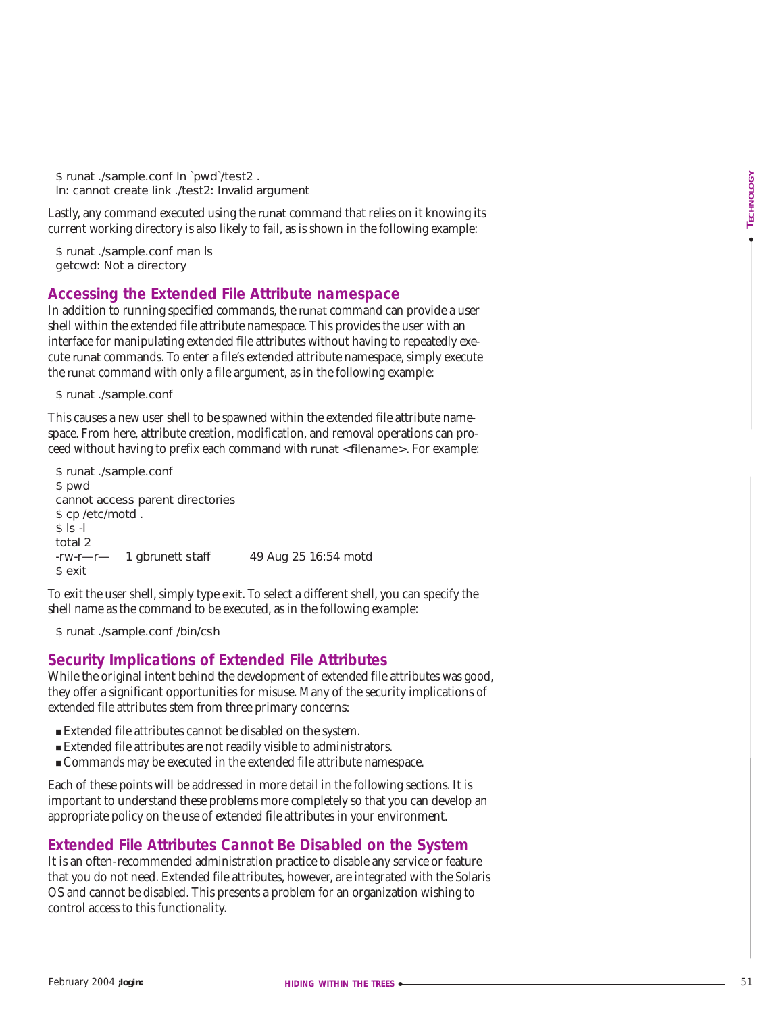\$ runat ./sample.conf ln `pwd`/test2 . ln: cannot create link ./test2: Invalid argument

Lastly, any command executed using the runat command that relies on it knowing its current working directory is also likely to fail, as is shown in the following example:

\$ runat ./sample.conf man ls getcwd: Not a directory

## **Accessing the Extended File Attribute namespace**

In addition to running specified commands, the runat command can provide a user shell within the extended file attribute namespace. This provides the user with an interface for manipulating extended file attributes without having to repeatedly execute runat commands. To enter a file's extended attribute namespace, simply execute the runat command with only a file argument, as in the following example:

\$ runat ./sample.conf

This causes a new user shell to be spawned within the extended file attribute namespace. From here, attribute creation, modification, and removal operations can proceed without having to prefix each command with runat <filename>. For example:

```
S runs are computed for \theta is not detected angle to calculate the distribution of the computed control of \theta is not detected to the state of \theta is not detected to the state of \theta is not the state of \theta is not th
 $ runat ./sample.conf
 $ pwd
 cannot access parent directories
 $ cp /etc/motd.
 $ |s -l
 total 2
 -rw-r—r— 1 gbrunett staff 49 Aug 25 16:54 motd
 $ exit
```
To exit the user shell, simply type exit. To select a different shell, you can specify the shell name as the command to be executed, as in the following example:

\$ runat ./sample.conf /bin/csh

#### **Security Implications of Extended File Attributes**

While the original intent behind the development of extended file attributes was good, they offer a significant opportunities for misuse. Many of the security implications of extended file attributes stem from three primary concerns:

- Extended file attributes cannot be disabled on the system.
- Extended file attributes are not readily visible to administrators.
- Commands may be executed in the extended file attribute namespace.

Each of these points will be addressed in more detail in the following sections. It is important to understand these problems more completely so that you can develop an appropriate policy on the use of extended file attributes in your environment.

## **Extended File Attributes Cannot Be Disabled on the System**

It is an often-recommended administration practice to disable any service or feature that you do not need. Extended file attributes, however, are integrated with the Solaris OS and cannot be disabled. This presents a problem for an organization wishing to control access to this functionality.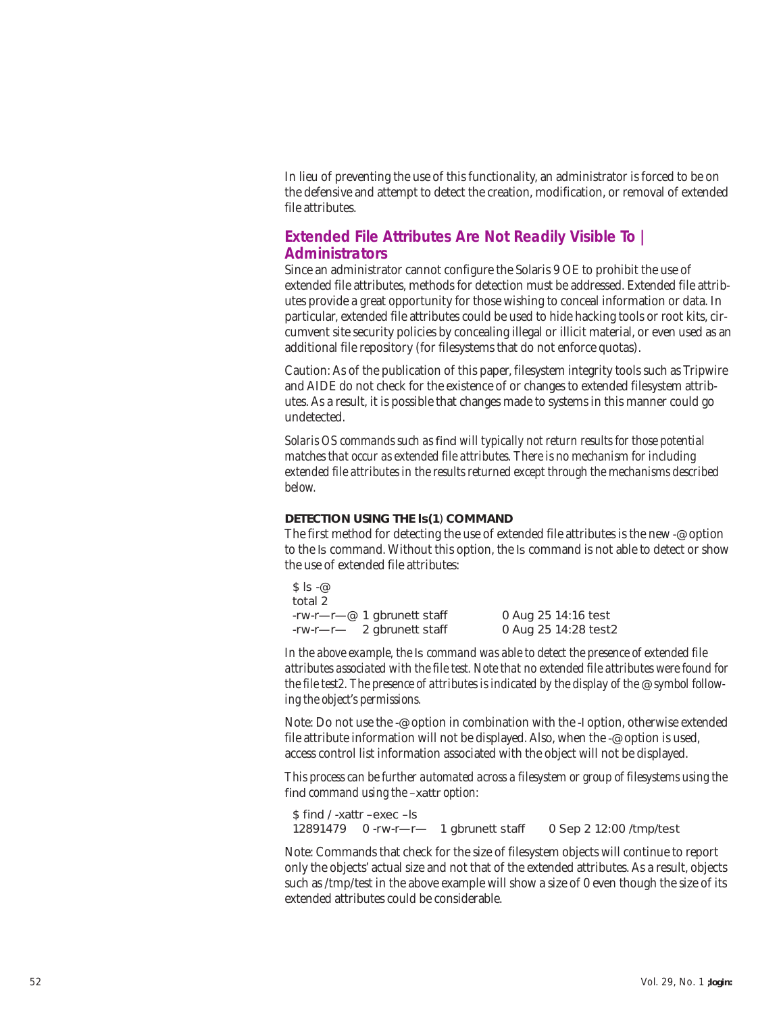In lieu of preventing the use of this functionality, an administrator is forced to be on the defensive and attempt to detect the creation, modification, or removal of extended file attributes.

# **Extended File Attributes Are Not Readily Visible To | Administrators**

Since an administrator cannot configure the Solaris 9 OE to prohibit the use of extended file attributes, methods for detection must be addressed. Extended file attributes provide a great opportunity for those wishing to conceal information or data. In particular, extended file attributes could be used to hide hacking tools or root kits, circumvent site security policies by concealing illegal or illicit material, or even used as an additional file repository (for filesystems that do not enforce quotas).

Caution: As of the publication of this paper, filesystem integrity tools such as Tripwire and AIDE do not check for the existence of or changes to extended filesystem attributes. As a result, it is possible that changes made to systems in this manner could go undetected.

*Solaris OS commands such as* find *will typically not return results for those potential matches that occur as extended file attributes. There is no mechanism for including extended file attributes in the results returned except through the mechanisms described below.*

#### **DETECTION USING THE ls(1**) **COMMAND**

The first method for detecting the use of extended file attributes is the new -@ option to the ls command. Without this option, the ls command is not able to detect or show the use of extended file attributes:

 $$ |s - \varpi$ total 2 -rw-r—r—@ 1 gbrunett staff 0 Aug 25 14:16 test  $-rw-r$  2 gbrunett staff

*In the above example, the* ls *command was able to detect the presence of extended file attributes associated with the file test. Note that no extended file attributes were found for* the file test2. The presence of attributes is indicated by the display of the @ *symbol following the object's permissions.*

Note: Do not use the -@ option in combination with the -l option, otherwise extended file attribute information will not be displayed. Also, when the -@ option is used, access control list information associated with the object will not be displayed.

*This process can be further automated across a filesystem or group of filesystems using the* find *command using the* –xattr *option:*

\$ find / -xattr –exec –ls 12891479 0 -rw-r—r— 1 gbrunett staff 0 Sep 2 12:00 /tmp/test

Note: Commands that check for the size of filesystem objects will continue to report only the objects' actual size and not that of the extended attributes. As a result, objects such as /tmp/test in the above example will show a size of 0 even though the size of its extended attributes could be considerable.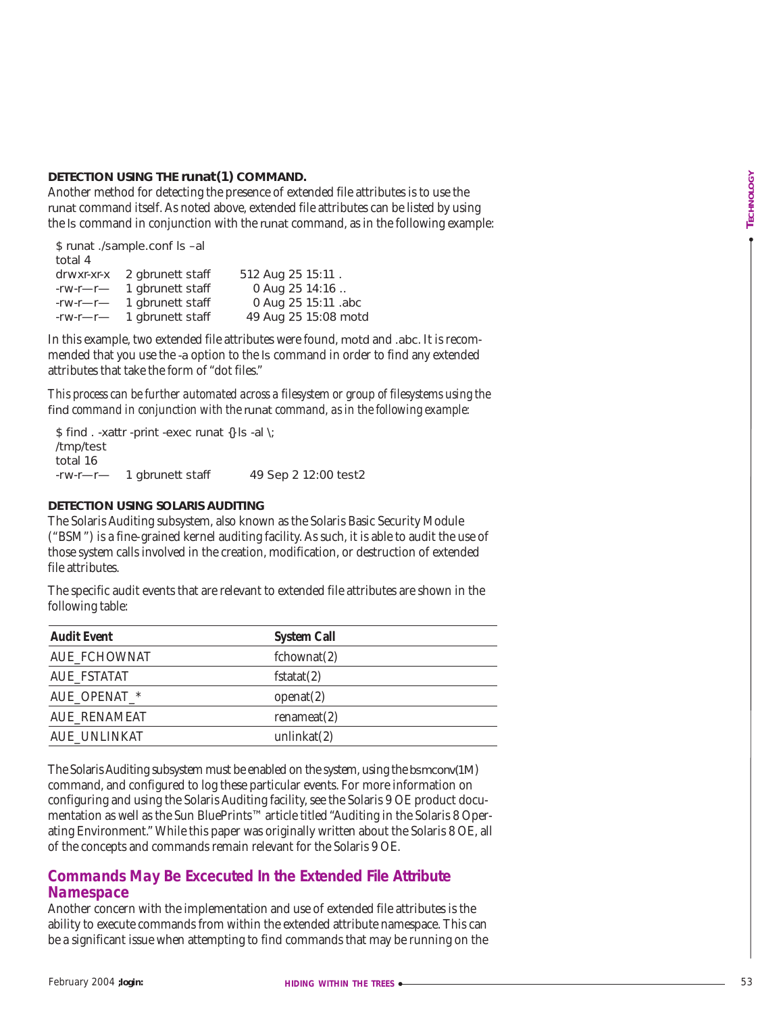#### **DETECTION USING THE runat(1) COMMAND.**

| \$ runat ./sample.conf ls-al |                             |                      |  |  |
|------------------------------|-----------------------------|----------------------|--|--|
| total 4                      |                             |                      |  |  |
|                              | drwxr-xr-x 2 gbrunett staff | 512 Aug 25 15:11.    |  |  |
| $-rw-r$ —r                   | 1 gbrunett staff            | 0 Aug 25 14:16       |  |  |
| $-1$ -r W-r $-1$             | 1 gbrunett staff            | 0 Aug 25 15:11 .abc  |  |  |
| $-rw-r$ —                    | 1 gbrunett staff            | 49 Aug 25 15:08 motd |  |  |

#### **DETECTION USING SOLARIS AUDITING**

| DETECTION USING THE runat(1) COMMAND.                                                                                                                                            | Another method for detecting the presence of extended file attributes is to use the<br>runat command itself. As noted above, extended file attributes can be listed by using<br>the Is command in conjunction with the runat command, as in the following example:                                                                                                                                                                                                                                                             | TECHNOLOGY |
|----------------------------------------------------------------------------------------------------------------------------------------------------------------------------------|--------------------------------------------------------------------------------------------------------------------------------------------------------------------------------------------------------------------------------------------------------------------------------------------------------------------------------------------------------------------------------------------------------------------------------------------------------------------------------------------------------------------------------|------------|
| \$ runat ./sample.conf ls-al<br>total 4<br>2 gbrunett staff<br>drwxr-xr-x<br>1 gbrunett staff<br>-rw-r—r—<br>1 gbrunett staff<br>$-1$ -rw-r-r<br>1 gbrunett staff<br>$-1$ -rw-r- | 512 Aug 25 15:11.<br>0 Aug 25 14:16<br>0 Aug 25 15:11 .abc<br>49 Aug 25 15:08 motd                                                                                                                                                                                                                                                                                                                                                                                                                                             |            |
| attributes that take the form of "dot files."                                                                                                                                    | In this example, two extended file attributes were found, motd and .abc. It is recom-<br>mended that you use the -a option to the Is command in order to find any extended                                                                                                                                                                                                                                                                                                                                                     |            |
|                                                                                                                                                                                  | This process can be further automated across a filesystem or group of filesystems using the<br>find command in conjunction with the runat command, as in the following example:                                                                                                                                                                                                                                                                                                                                                |            |
| \$ find . -xattr -print -exec runat {} Is -al \;<br>/tmp/test<br>total 16<br>1 gbrunett staff<br>$-1$ -rw-r-r                                                                    | 49 Sep 2 12:00 test2                                                                                                                                                                                                                                                                                                                                                                                                                                                                                                           |            |
| DETECTION USING SOLARIS AUDITING<br>file attributes.                                                                                                                             | The Solaris Auditing subsystem, also known as the Solaris Basic Security Module<br>("BSM") is a fine-grained kernel auditing facility. As such, it is able to audit the use of<br>those system calls involved in the creation, modification, or destruction of extended<br>The specific audit events that are relevant to extended file attributes are shown in the                                                                                                                                                            |            |
| following table:                                                                                                                                                                 |                                                                                                                                                                                                                                                                                                                                                                                                                                                                                                                                |            |
| <b>Audit Event</b>                                                                                                                                                               | <b>System Call</b>                                                                                                                                                                                                                                                                                                                                                                                                                                                                                                             |            |
| <b>AUE_FCHOWNAT</b>                                                                                                                                                              | fchownat(2)                                                                                                                                                                                                                                                                                                                                                                                                                                                                                                                    |            |
| <b>AUE_FSTATAT</b>                                                                                                                                                               | fstat(2)                                                                                                                                                                                                                                                                                                                                                                                                                                                                                                                       |            |
| AUE_OPENAT_*                                                                                                                                                                     | openat(2)                                                                                                                                                                                                                                                                                                                                                                                                                                                                                                                      |            |
| <b>AUE_RENAMEAT</b>                                                                                                                                                              | renameat(2)                                                                                                                                                                                                                                                                                                                                                                                                                                                                                                                    |            |
| <b>AUE_UNLINKAT</b>                                                                                                                                                              | unlinkat $(2)$                                                                                                                                                                                                                                                                                                                                                                                                                                                                                                                 |            |
|                                                                                                                                                                                  | The Solaris Auditing subsystem must be enabled on the system, using the bsmconv(1M)<br>command, and configured to log these particular events. For more information on<br>configuring and using the Solaris Auditing facility, see the Solaris 9 OE product docu-<br>mentation as well as the Sun BluePrints™ article titled "Auditing in the Solaris 8 Oper-<br>ating Environment." While this paper was originally written about the Solaris 8 OE, all<br>of the concepts and commands remain relevant for the Solaris 9 OE. |            |
| <b>Namespace</b>                                                                                                                                                                 | <b>Commands May Be Excecuted In the Extended File Attribute</b>                                                                                                                                                                                                                                                                                                                                                                                                                                                                |            |
|                                                                                                                                                                                  | Another concern with the implementation and use of extended file attributes is the<br>ability to execute commands from within the extended attribute namespace. This can<br>be a significant issue when attempting to find commands that may be running on the                                                                                                                                                                                                                                                                 |            |
| February 2004 ; login:                                                                                                                                                           | <b>HIDING WITHIN THE TREES <math>\sim</math></b>                                                                                                                                                                                                                                                                                                                                                                                                                                                                               | 53         |

# **Commands May Be Excecuted In the Extended File Attribute Namespace**